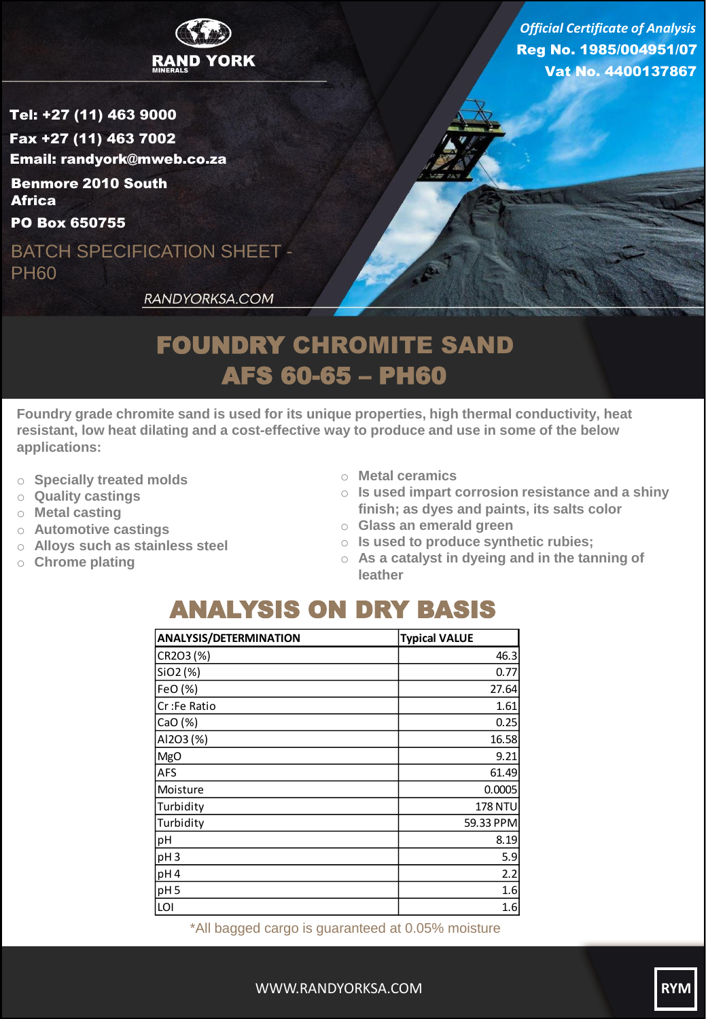

Tel: +27 (11) 463 9000 Fax +27 (11) 463 7002 Email: randyork@mweb.co.za Benmore 2010 South

PO Box 650755 **Africa** 

BATCH SPECIFICATION SHEET - PH60

RANDYORKSA.COM

Reg No. 1985/004951/07 Vat No. 4400137867 *Official Certificate of Analysis*

## FOUNDRY CHROMITE SAND AFS 60-65 – PH60

**Foundry grade chromite sand is used for its unique properties, high thermal conductivity, heat resistant, low heat dilating and a cost-effective way to produce and use in some of the below applications:**

- o **Specially treated molds**
- o **Quality castings**
- o **Metal casting**
- o **Automotive castings**
- o **Alloys such as stainless steel**
- o **Chrome plating**
- o **Metal ceramics**
- o **Is used impart corrosion resistance and a shiny finish; as dyes and paints, its salts color**
- o **Glass an emerald green**
- o **Is used to produce synthetic rubies;**
- o **As a catalyst in dyeing and in the tanning of leather**

## ANALYSIS ON DRY BASIS

| <b>ANALYSIS/DETERMINATION</b> | <b>Typical VALUE</b> |
|-------------------------------|----------------------|
| CR2O3 (%)                     | 46.3                 |
| SiO2 (%)                      | 0.77                 |
| FeO (%)                       | 27.64                |
| Cr:Fe Ratio                   | 1.61                 |
| CaO (%)                       | 0.25                 |
| Al2O3 (%)                     | 16.58                |
| <b>MgO</b>                    | 9.21                 |
| AFS                           | 61.49                |
| Moisture                      | 0.0005               |
| Turbidity                     | 178 NTU              |
| Turbidity                     | 59.33 PPM            |
| pH                            | 8.19                 |
| pH <sub>3</sub>               | 5.9                  |
| pH4                           | 2.2                  |
| pH <sub>5</sub>               | 1.6                  |
| LOI                           | 1.6                  |

\*All bagged cargo is guaranteed at 0.05% moisture